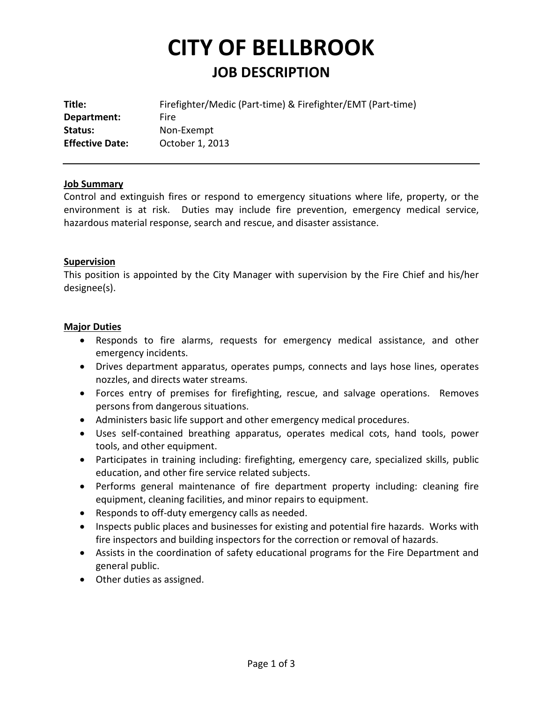# **CITY OF BELLBROOK JOB DESCRIPTION**

| Firefighter/Medic (Part-time) & Firefighter/EMT (Part-time) |
|-------------------------------------------------------------|
| Fire                                                        |
| Non-Exempt                                                  |
| October 1, 2013                                             |
|                                                             |

#### **Job Summary**

Control and extinguish fires or respond to emergency situations where life, property, or the environment is at risk. Duties may include fire prevention, emergency medical service, hazardous material response, search and rescue, and disaster assistance.

#### **Supervision**

This position is appointed by the City Manager with supervision by the Fire Chief and his/her designee(s).

#### **Major Duties**

- Responds to fire alarms, requests for emergency medical assistance, and other emergency incidents.
- Drives department apparatus, operates pumps, connects and lays hose lines, operates nozzles, and directs water streams.
- Forces entry of premises for firefighting, rescue, and salvage operations. Removes persons from dangerous situations.
- Administers basic life support and other emergency medical procedures.
- Uses self-contained breathing apparatus, operates medical cots, hand tools, power tools, and other equipment.
- Participates in training including: firefighting, emergency care, specialized skills, public education, and other fire service related subjects.
- Performs general maintenance of fire department property including: cleaning fire equipment, cleaning facilities, and minor repairs to equipment.
- Responds to off-duty emergency calls as needed.
- Inspects public places and businesses for existing and potential fire hazards. Works with fire inspectors and building inspectors for the correction or removal of hazards.
- Assists in the coordination of safety educational programs for the Fire Department and general public.
- Other duties as assigned.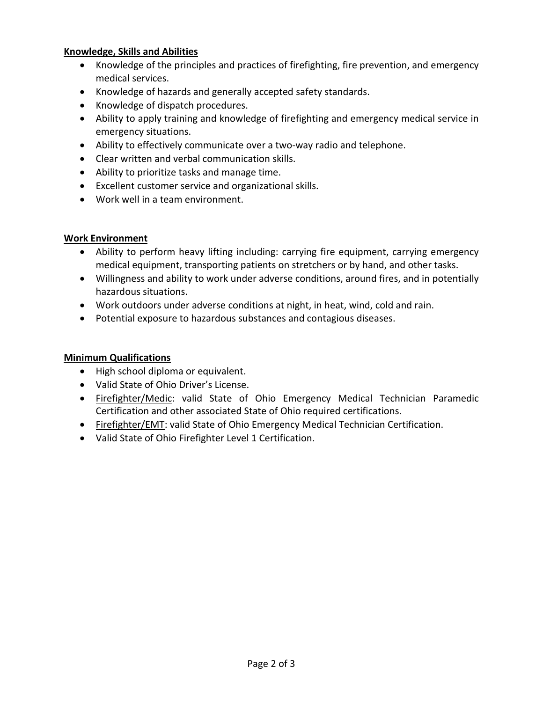### **Knowledge, Skills and Abilities**

- Knowledge of the principles and practices of firefighting, fire prevention, and emergency medical services.
- Knowledge of hazards and generally accepted safety standards.
- Knowledge of dispatch procedures.
- Ability to apply training and knowledge of firefighting and emergency medical service in emergency situations.
- Ability to effectively communicate over a two-way radio and telephone.
- Clear written and verbal communication skills.
- Ability to prioritize tasks and manage time.
- Excellent customer service and organizational skills.
- Work well in a team environment.

## **Work Environment**

- Ability to perform heavy lifting including: carrying fire equipment, carrying emergency medical equipment, transporting patients on stretchers or by hand, and other tasks.
- Willingness and ability to work under adverse conditions, around fires, and in potentially hazardous situations.
- Work outdoors under adverse conditions at night, in heat, wind, cold and rain.
- Potential exposure to hazardous substances and contagious diseases.

# **Minimum Qualifications**

- High school diploma or equivalent.
- Valid State of Ohio Driver's License.
- Firefighter/Medic: valid State of Ohio Emergency Medical Technician Paramedic Certification and other associated State of Ohio required certifications.
- Firefighter/EMT: valid State of Ohio Emergency Medical Technician Certification.
- Valid State of Ohio Firefighter Level 1 Certification.